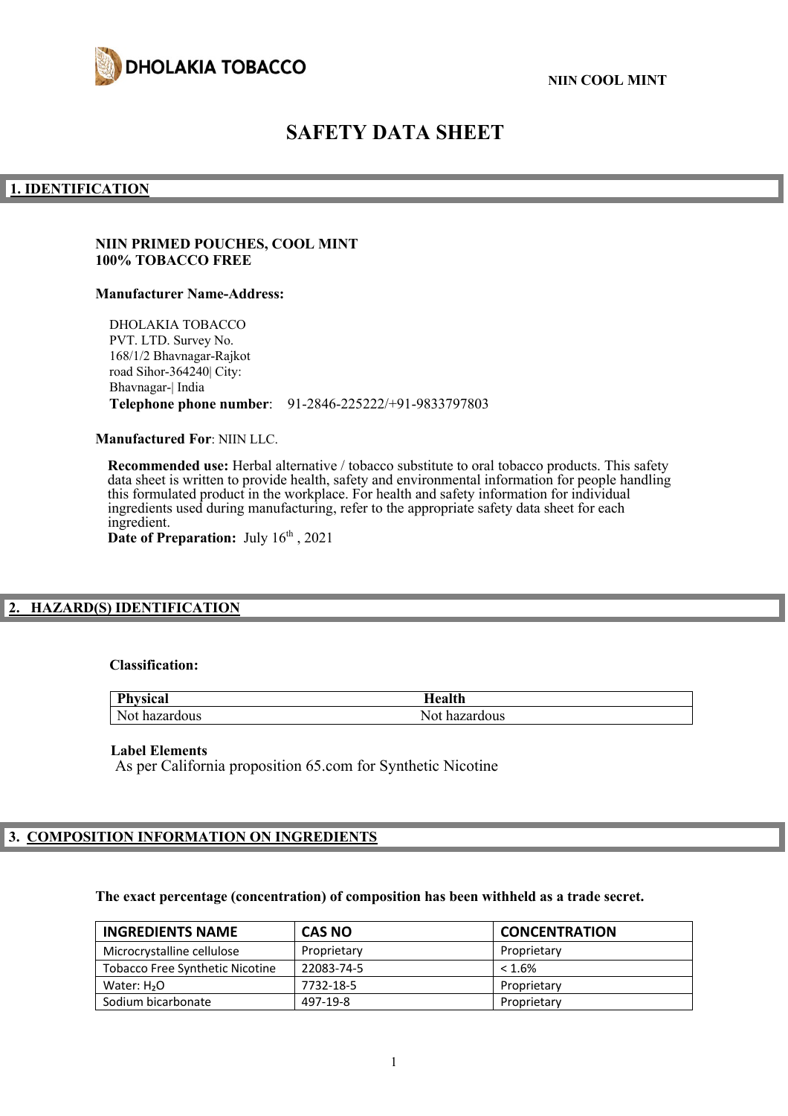

# **SAFETY DATA SHEET**

#### **1. IDENTIFICATION**

#### **NIIN PRIMED POUCHES, COOL MINT 100% TOBACCO FREE**

#### **Manufacturer Name-Address:**

DHOLAKIA TOBACCO PVT. LTD. Survey No. 168/1/2 Bhavnagar-Rajkot road Sihor-364240| City: Bhavnagar-| India **Telephone phone number**: 91-2846-225222/+91-9833797803

**Manufactured For**: NIIN LLC.

**Recommended use:** Herbal alternative / tobacco substitute to oral tobacco products. This safety data sheet is written to provide health, safety and environmental information for people handling this formulated product in the workplace. For health and safety information for individual ingredients used during manufacturing, refer to the appropriate safety data sheet for each ingredient. Date of Preparation: July  $16<sup>th</sup>$ , 2021

#### **2. HAZARD(S) IDENTIFICATION**

#### **Classification:**

| Phy           | ™ealth        |
|---------------|---------------|
| Not hazardous | Not hazardous |

#### **Label Elements**

As per California proposition 65.com for Synthetic Nicotine

# **3. COMPOSITION INFORMATION ON INGREDIENTS**

# **The exact percentage (concentration) of composition has been withheld as a trade secret.**

| <b>INGREDIENTS NAME</b>                | <b>CAS NO</b> | <b>CONCENTRATION</b> |
|----------------------------------------|---------------|----------------------|
| Microcrystalline cellulose             | Proprietary   | Proprietary          |
| <b>Tobacco Free Synthetic Nicotine</b> | 22083-74-5    | $< 1.6\%$            |
| Water: $H2O$                           | 7732-18-5     | Proprietary          |
| Sodium bicarbonate                     | 497-19-8      | Proprietary          |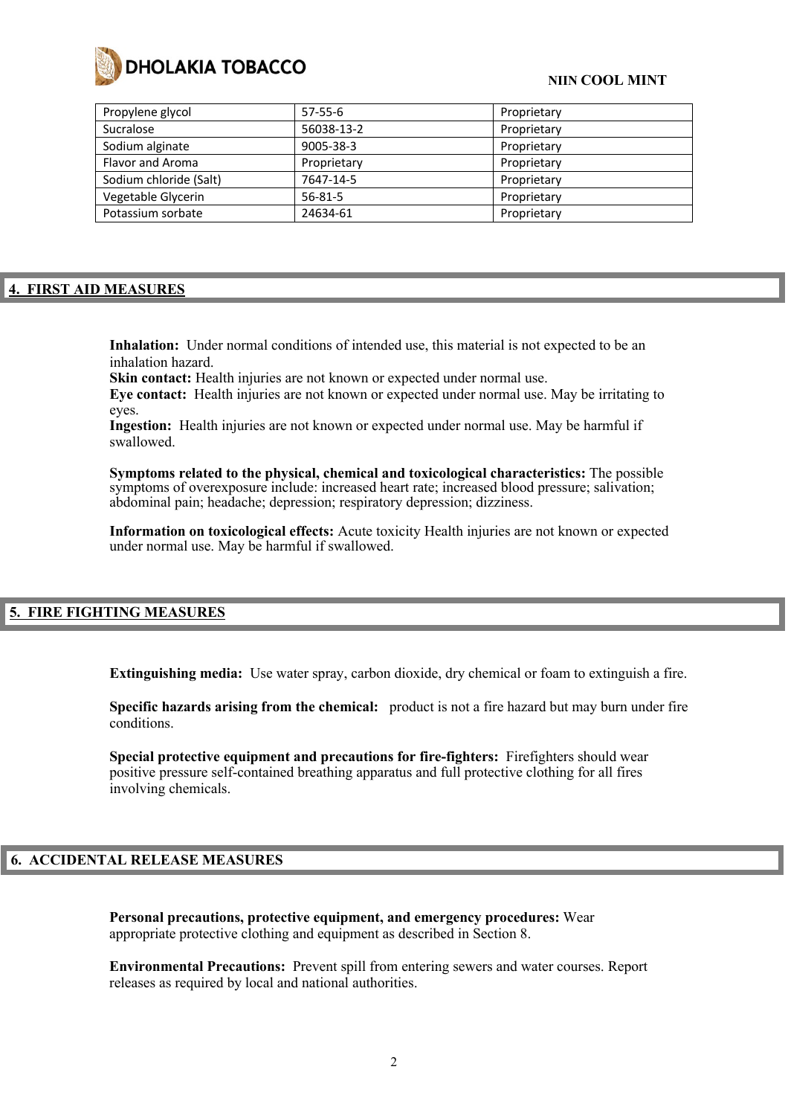

#### **NIIN COOL MINT**

| Propylene glycol       | $57-55-6$     | Proprietary |
|------------------------|---------------|-------------|
| Sucralose              | 56038-13-2    | Proprietary |
| Sodium alginate        | 9005-38-3     | Proprietary |
| Flavor and Aroma       | Proprietary   | Proprietary |
| Sodium chloride (Salt) | 7647-14-5     | Proprietary |
| Vegetable Glycerin     | $56 - 81 - 5$ | Proprietary |
| Potassium sorbate      | 24634-61      | Proprietary |

## **4. FIRST AID MEASURES**

**Inhalation:** Under normal conditions of intended use, this material is not expected to be an inhalation hazard.

Skin contact: Health injuries are not known or expected under normal use.

**Eye contact:** Health injuries are not known or expected under normal use. May be irritating to eyes.

**Ingestion:** Health injuries are not known or expected under normal use. May be harmful if swallowed.

**Symptoms related to the physical, chemical and toxicological characteristics:** The possible symptoms of overexposure include: increased heart rate; increased blood pressure; salivation; abdominal pain; headache; depression; respiratory depression; dizziness.

**Information on toxicological effects:** Acute toxicity Health injuries are not known or expected under normal use. May be harmful if swallowed.

# **5. FIRE FIGHTING MEASURES**

**Extinguishing media:** Use water spray, carbon dioxide, dry chemical or foam to extinguish a fire.

**Specific hazards arising from the chemical:** product is not a fire hazard but may burn under fire conditions.

**Special protective equipment and precautions for fire-fighters:** Firefighters should wear positive pressure self-contained breathing apparatus and full protective clothing for all fires involving chemicals.

# **6. ACCIDENTAL RELEASE MEASURES**

**Personal precautions, protective equipment, and emergency procedures:** Wear appropriate protective clothing and equipment as described in Section 8.

**Environmental Precautions:** Prevent spill from entering sewers and water courses. Report releases as required by local and national authorities.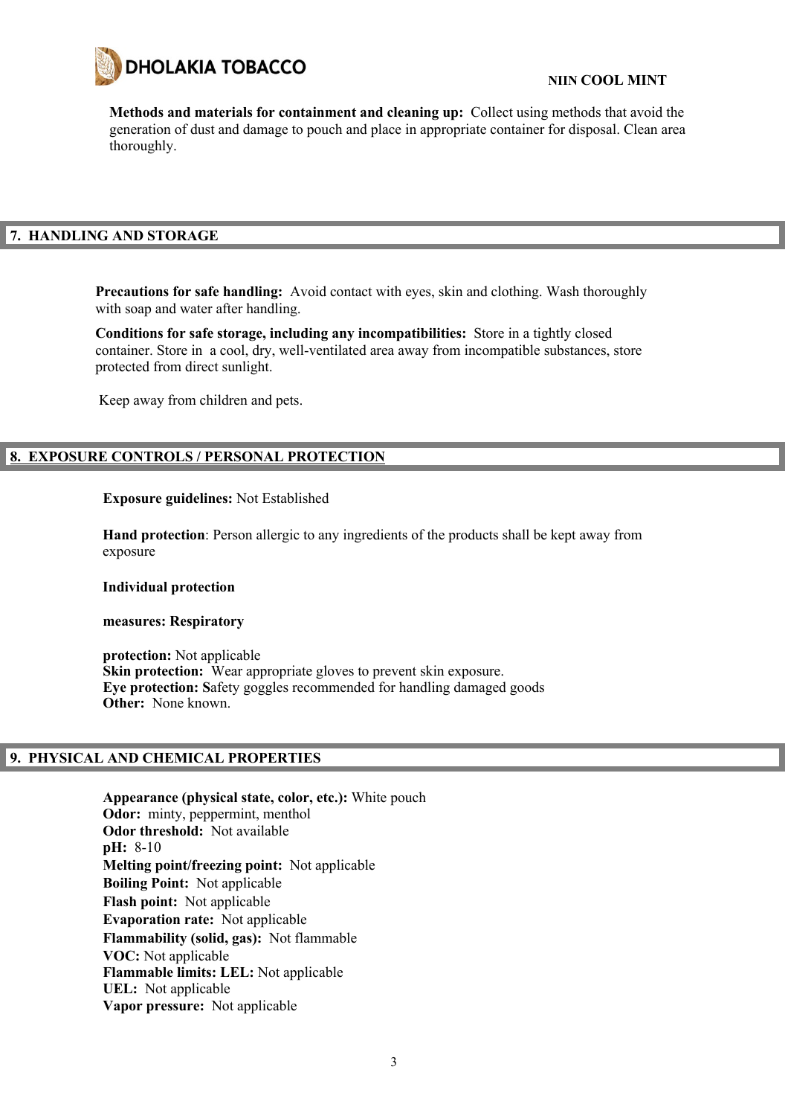

**Methods and materials for containment and cleaning up:** Collect using methods that avoid the generation of dust and damage to pouch and place in appropriate container for disposal. Clean area thoroughly.

# **7. HANDLING AND STORAGE**

**Precautions for safe handling:** Avoid contact with eyes, skin and clothing. Wash thoroughly with soap and water after handling.

**Conditions for safe storage, including any incompatibilities:** Store in a tightly closed container. Store in a cool, dry, well-ventilated area away from incompatible substances, store protected from direct sunlight.

Keep away from children and pets.

# **8. EXPOSURE CONTROLS / PERSONAL PROTECTION**

#### **Exposure guidelines:** Not Established

**Hand protection**: Person allergic to any ingredients of the products shall be kept away from exposure

#### **Individual protection**

#### **measures: Respiratory**

**protection:** Not applicable **Skin protection:** Wear appropriate gloves to prevent skin exposure. **Eye protection: S**afety goggles recommended for handling damaged goods **Other:** None known.

#### **9. PHYSICAL AND CHEMICAL PROPERTIES**

**Appearance (physical state, color, etc.):** White pouch **Odor:** minty, peppermint, menthol **Odor threshold:** Not available **pH:** 8-10 **Melting point/freezing point:** Not applicable **Boiling Point:** Not applicable **Flash point:** Not applicable **Evaporation rate:** Not applicable **Flammability (solid, gas):** Not flammable **VOC:** Not applicable **Flammable limits: LEL:** Not applicable **UEL:** Not applicable **Vapor pressure:** Not applicable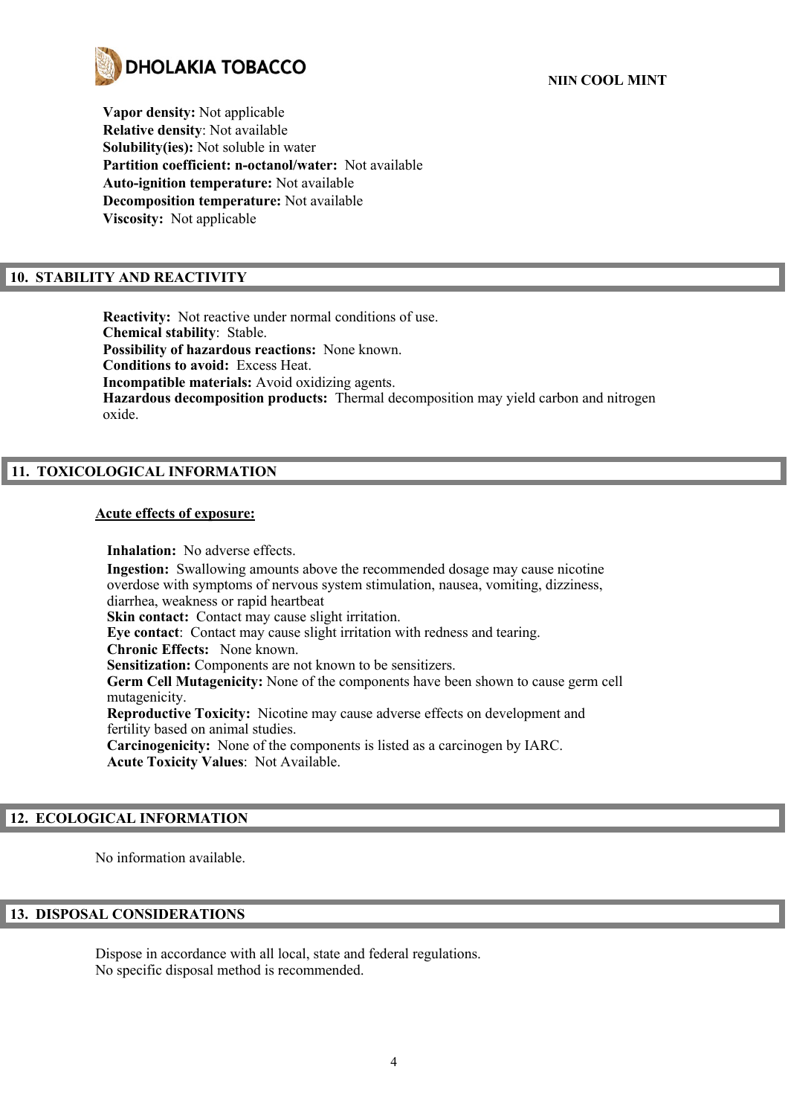

**Vapor density:** Not applicable **Relative density**: Not available **Solubility(ies):** Not soluble in water **Partition coefficient: n-octanol/water:** Not available **Auto-ignition temperature:** Not available **Decomposition temperature:** Not available **Viscosity:** Not applicable

# **10. STABILITY AND REACTIVITY**

**Reactivity:** Not reactive under normal conditions of use. **Chemical stability**: Stable. **Possibility of hazardous reactions:** None known. **Conditions to avoid:** Excess Heat. **Incompatible materials:** Avoid oxidizing agents. **Hazardous decomposition products:** Thermal decomposition may yield carbon and nitrogen oxide.

# **11. TOXICOLOGICAL INFORMATION**

#### **Acute effects of exposure:**

**Inhalation:** No adverse effects. **Ingestion:** Swallowing amounts above the recommended dosage may cause nicotine overdose with symptoms of nervous system stimulation, nausea, vomiting, dizziness, diarrhea, weakness or rapid heartbeat **Skin contact:** Contact may cause slight irritation. **Eye contact**: Contact may cause slight irritation with redness and tearing. **Chronic Effects:** None known. **Sensitization:** Components are not known to be sensitizers. **Germ Cell Mutagenicity:** None of the components have been shown to cause germ cell mutagenicity. **Reproductive Toxicity:** Nicotine may cause adverse effects on development and fertility based on animal studies. **Carcinogenicity:** None of the components is listed as a carcinogen by IARC. **Acute Toxicity Values**: Not Available.

# **12. ECOLOGICAL INFORMATION**

No information available.

# **13. DISPOSAL CONSIDERATIONS**

Dispose in accordance with all local, state and federal regulations. No specific disposal method is recommended.